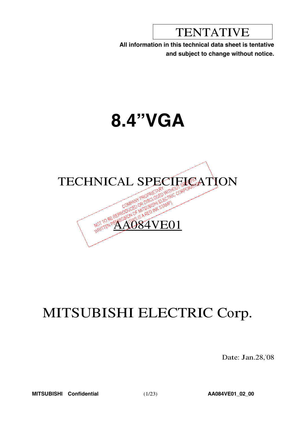TENTATIVE

**All information in this technical data sheet is tentative and subject to change without notice.**

# **8.4"VGA**



# MITSUBISHI ELECTRIC Corp.

Date: Jan.28,'08

**MITSUBISHI Confidential** (1/23) **AA084VE01\_02\_00**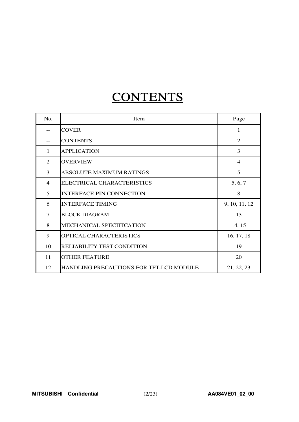# **CONTENTS**

| No.            | Item                                    | Page           |
|----------------|-----------------------------------------|----------------|
|                | <b>COVER</b>                            | 1              |
|                | <b>CONTENTS</b>                         | $\overline{2}$ |
| $\mathbf{1}$   | <b>APPLICATION</b>                      | 3              |
| $\mathfrak{D}$ | <b>OVERVIEW</b>                         | $\overline{4}$ |
| 3              | <b>ABSOLUTE MAXIMUM RATINGS</b>         | 5              |
| $\overline{4}$ | ELECTRICAL CHARACTERISTICS              | 5, 6, 7        |
| 5              | <b>INTERFACE PIN CONNECTION</b>         | 8              |
| 6              | <b>INTERFACE TIMING</b>                 | 9, 10, 11, 12  |
| $\tau$         | <b>BLOCK DIAGRAM</b>                    | 13             |
| 8              | MECHANICAL SPECIFICATION                | 14, 15         |
| 9              | <b>OPTICAL CHARACTERISTICS</b>          | 16, 17, 18     |
| 10             | RELIABILITY TEST CONDITION              | 19             |
| 11             | <b>OTHER FEATURE</b>                    | 20             |
| 12             | HANDLING PRECAUTIONS FOR TFT-LCD MODULE | 21, 22, 23     |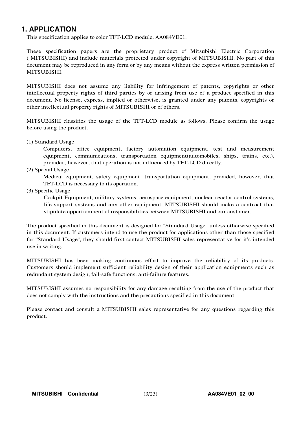## **1. APPLICATION**

This specification applies to color TFT-LCD module, AA084VE01.

These specification papers are the proprietary product of Mitsubishi Electric Corporation ("MITSUBISHI) and include materials protected under copyright of MITSUBISHI. No part of this document may be reproduced in any form or by any means without the express written permission of MITSUBISHI.

MITSUBISHI does not assume any liability for infringement of patents, copyrights or other intellectual property rights of third parties by or arising from use of a product specified in this document. No license, express, implied or otherwise, is granted under any patents, copyrights or other intellectual property rights of MITSUBISHI or of others.

MITSUBISHI classifies the usage of the TFT-LCD module as follows. Please confirm the usage before using the product.

(1) Standard Usage

Computers, office equipment, factory automation equipment, test and measurement equipment, communications, transportation equipment(automobiles, ships, trains, etc.), provided, however, that operation is not influenced by TFT-LCD directly.

(2) Special Usage

Medical equipment, safety equipment, transportation equipment, provided, however, that TFT-LCD is necessary to its operation.

(3) Specific Usage

Cockpit Equipment, military systems, aerospace equipment, nuclear reactor control systems, life support systems and any other equipment. MITSUBISHI should make a contract that stipulate apportionment of responsibilities between MITSUBISHI and our customer.

The product specified in this document is designed for "Standard Usage" unless otherwise specified in this document. If customers intend to use the product for applications other than those specified for "Standard Usage", they should first contact MITSUBISHI sales representative for it's intended use in writing.

MITSUBISHI has been making continuous effort to improve the reliability of its products. Customers should implement sufficient reliability design of their application equipments such as redundant system design, fail-safe functions, anti-failure features.

MITSUBISHI assumes no responsibility for any damage resulting from the use of the product that does not comply with the instructions and the precautions specified in this document.

Please contact and consult a MITSUBISHI sales representative for any questions regarding this product.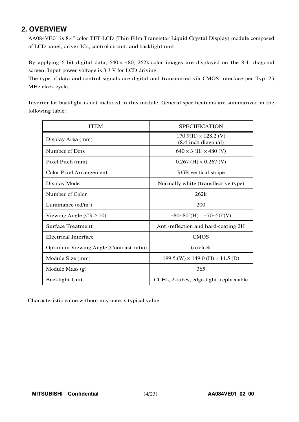## **2. OVERVIEW**

AA084VE01 is 8.4" color TFT-LCD (Thin Film Transistor Liquid Crystal Display) module composed of LCD panel, driver ICs, control circuit, and backlight unit.

By applying 6 bit digital data,  $640 \times 480$ ,  $262k$ -color images are displayed on the 8.4" diagonal screen. Input power voltage is 3.3 V for LCD driving.

The type of data and control signals are digital and transmitted via CMOS interface per Typ. 25 MHz clock cycle.

Inverter for backlight is not included in this module. General specifications are summarized in the following table:

| <b>ITEM</b>                            | <b>SPECIFICATION</b>                               |
|----------------------------------------|----------------------------------------------------|
| Display Area (mm)                      | $170.9(H) \times 128.2$ (V)<br>(8.4-inch diagonal) |
| Number of Dots                         | $640 \times 3$ (H) $\times 480$ (V)                |
| Pixel Pitch (mm)                       | $0.267$ (H) $\times$ 0.267 (V)                     |
| <b>Color Pixel Arrangement</b>         | RGB vertical stripe                                |
| Display Mode                           | Normally white (transflective type)                |
| Number of Color                        | 262k                                               |
| Luminance $(cd/m2)$                    | 200                                                |
| Viewing Angle ( $CR \ge 10$ )          | $-80-80^{\circ}$ (H) $-70-50^{\circ}$ (V)          |
| <b>Surface Treatment</b>               | Anti-reflection and hard-coating 2H                |
| <b>Electrical Interface</b>            | <b>CMOS</b>                                        |
| Optimum Viewing Angle (Contrast ratio) | 6 o'clock                                          |
| Module Size (mm)                       | 199.5 (W) $\times$ 149.0 (H) $\times$ 11.5 (D)     |
| Module Mass (g)                        | 365                                                |
| <b>Backlight Unit</b>                  | CCFL, 2-tubes, edge-light, replaceable             |

Characteristic value without any note is typical value.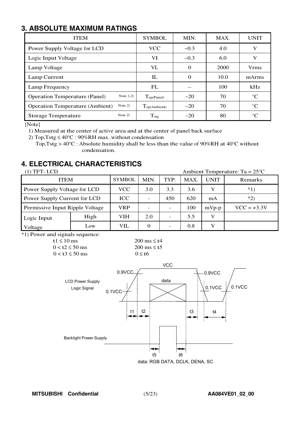# **3. ABSOLUTE MAXIMUM RATINGS**

| <b>ITEM</b>                            |             | <b>SYMBOL</b>               | MIN.     | MAX. | <b>UNIT</b>     |
|----------------------------------------|-------------|-----------------------------|----------|------|-----------------|
| Power Supply Voltage for LCD           |             | <b>VCC</b>                  | $-0.3$   | 4.0  | V               |
| Logic Input Voltage                    |             | VI                          | $-0.3$   | 6.0  | V               |
| Lamp Voltage                           |             | VL.                         | $\Omega$ | 2000 | <b>V</b> rms    |
| Lamp Current                           |             | $_{\rm IL}$                 | $\Omega$ | 10.0 | mArms           |
| Lamp Frequency                         |             | FL                          |          | 100  | kHz             |
| <b>Operation Temperature (Panel)</b>   | Note $1,2)$ | $\Gamma_{\text{op(Panel)}}$ | $-20$    | 70   | $\rm ^{\circ}C$ |
| <b>Operation Temperature (Ambient)</b> | Note $2)$   | $T_{\text{op(Ambient)}}$    | $-20$    | 70   | $\rm ^{\circ}C$ |
| <b>Storage Temperature</b>             | Note $2)$   | $T_{\text{stg}}$            | $-20$    | 80   | $\rm ^{\circ}C$ |

[Note]

1) Measured at the center of active area and at the center of panel back surface

2) Top, Tstg  $\leq 40^{\circ}$ C : 90%RH max. without condensation

<sup>T</sup>op,Tstg <sup>&</sup>gt; <sup>40</sup>°<sup>C</sup> : Absolute humidity shall be less than the value of <sup>90</sup>%RH at <sup>40</sup>°<sup>C</sup> without condensation.

# **4. ELECTRICAL CHARACTERISTICS**

| $(1)$ TFT-LCD                   |            | Ambient Temperature: Ta = $25^{\circ}$ C |      |      |         |               |         |
|---------------------------------|------------|------------------------------------------|------|------|---------|---------------|---------|
| ITEM                            |            | <b>SYMBOL</b>                            | MIN. | TYP. | MAX.    | <b>UNIT</b>   | Remarks |
| Power Supply Voltage for LCD    | VCC        | 3.0                                      | 3.3  | 3.6  | V       | $*1)$         |         |
| Power Supply Current for LCD    | <b>ICC</b> |                                          | 450  | 620  | mA      | $*2)$         |         |
| Permissive Input Ripple Voltage | <b>VRP</b> |                                          |      | 100  | $mVp-p$ | $VCC = +3.3V$ |         |
| Logic Input                     | High       | VIH                                      | 2.0  |      | 5.5     | V             |         |
| Low<br>Voltage                  |            | VIL                                      |      |      | 0.8     | V             |         |

\*1) Power and signals sequence:

 $0 < t^2 \le 50$  ms  $200 \text{ ms} \le t^5$ 

t 1 ≤ 10 ms  $10 \text{ ms}$  200 ms ≤ t4  $0 < t3 \le 50$  ms  $0 \le t6$ 

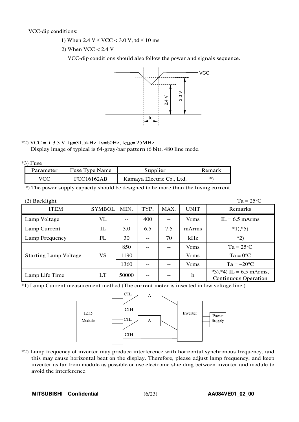VCC-dip conditions:

- 1) When  $2.4 \text{ V} \leq \text{VCC} < 3.0 \text{ V}$ , td  $\leq 10 \text{ ms}$
- 2) When  $VCC < 2.4$  V

VCC-dip conditions should also follow the power and signals sequence.



### \*2) VCC =  $+3.3$  V, f<sub>H</sub>=31.5kHz, fv=60Hz, fcLK= 25MHz

Display image of typical is 64-gray-bar pattern (6 bit), 480 line mode.

| TISO |
|------|

| Parameter | Fuse Type Name    | Supplier                  | Remark |
|-----------|-------------------|---------------------------|--------|
| VCC       | <b>FCC16162AB</b> | Kamaya Electric Co., Ltd. |        |

\*) The power supply capacity should be designed to be more than the fusing current.

| (2) Backlight                |               |       |                   |       |             | $Ta = 25^{\circ}C$                                      |
|------------------------------|---------------|-------|-------------------|-------|-------------|---------------------------------------------------------|
| <b>ITEM</b>                  | <b>SYMBOL</b> | MIN.  | TYP.              | MAX.  | <b>UNIT</b> | Remarks                                                 |
| Lamp Voltage                 | VL            | --    | 400               | $-$   | <b>Vrms</b> | $IL = 6.5$ mArms                                        |
| Lamp Current                 | IL            | 3.0   | 6.5               | 7.5   | mArms       | $*1, *5)$                                               |
| Lamp Frequency               | FL            | 30    | $\qquad \qquad -$ | 70    | kHz         | $*2)$                                                   |
|                              |               | 850   | $\qquad \qquad -$ | $-$   | <b>Vrms</b> | $Ta = 25^{\circ}C$                                      |
| <b>Starting Lamp Voltage</b> | <b>VS</b>     | 1190  | $- -$             | $- -$ | <b>Vrms</b> | $Ta = 0^{\circ}C$                                       |
|                              |               | 1360  | $- -$             | $-$   | <b>Vrms</b> | $Ta = -20$ °C                                           |
| Lamp Life Time               | LT            | 50000 | $- -$             | $ -$  | h           | *3,*4) IL = $6.5$ mArms,<br><b>Continuous Operation</b> |

\*1) Lamp Current measurement method (The current meter is inserted in low voltage line.)



\*2) Lamp frequency of inverter may produce interference with horizontal synchronous frequency, and this may cause horizontal beat on the display. Therefore, please adjust lamp frequency, and keep inverter as far from module as possible or use electronic shielding between inverter and module to avoid the interference.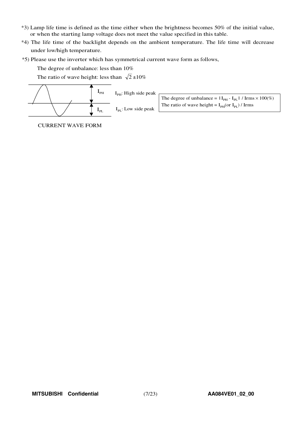- \*3) Lamp life time is defined as the time either when the brightness becomes 50% of the initial value, or when the starting lamp voltage does not meet the value specified in this table.
- \*4) The life time of the backlight depends on the ambient temperature. The life time will decrease under low/high temperature.
- \*5) Please use the inverter which has symmetrical current wave form as follows,

The degree of unbalance: less than 10%

The ratio of wave height: less than  $\sqrt{2} \pm 10\%$ 



 $I_{PI}$ : Low side peak

 $I<sub>PH</sub>:$  High side peak

The degree of unbalance =  $|I_{PH} - I_{PL}| / I_{rms} \times 100\%$ The ratio of wave height =  $I_{PH}$ (or  $I_{PL}$ ) / Irms

CURRENT WAVE FORM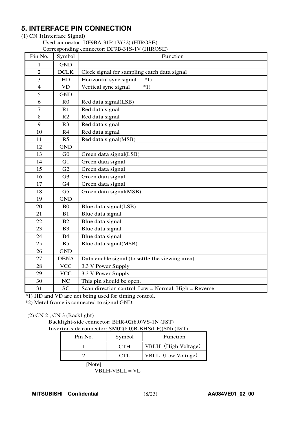# **5. INTERFACE PIN CONNECTION**

### (1) CN 1(Interface Signal)

### Used connector: DF9BA-31P-1V(32) (HIROSE) Corresponding connector: DF9B-31S-1V (HIROSE)

| Pin No.          | Symbol                 | Corresponding connector. Dr $2D-213-1$ v (THNOSE)<br>Function |
|------------------|------------------------|---------------------------------------------------------------|
| 1                | <b>GND</b>             |                                                               |
| $\overline{2}$   | <b>DCLK</b>            | Clock signal for sampling catch data signal                   |
| 3                | HD                     | Horizontal sync signal<br>$*1)$                               |
| $\overline{4}$   | $\mathbf{V}\mathbf{D}$ | $*1)$<br>Vertical sync signal                                 |
| 5                | <b>GND</b>             |                                                               |
| 6                | R <sub>0</sub>         | Red data signal(LSB)                                          |
| $\boldsymbol{7}$ | R1                     | Red data signal                                               |
| $8\,$            | R2                     | Red data signal                                               |
| 9                | R <sub>3</sub>         | Red data signal                                               |
| 10               | R4                     | Red data signal                                               |
| 11               | R <sub>5</sub>         | Red data signal(MSB)                                          |
| 12               | <b>GND</b>             |                                                               |
| 13               | G <sub>0</sub>         | Green data signal(LSB)                                        |
| 14               | G1                     | Green data signal                                             |
| 15               | G2                     | Green data signal                                             |
| 16               | G <sub>3</sub>         | Green data signal                                             |
| 17               | G <sub>4</sub>         | Green data signal                                             |
| 18               | G <sub>5</sub>         | Green data signal(MSB)                                        |
| 19               | <b>GND</b>             |                                                               |
| 20               | B <sub>0</sub>         | Blue data signal(LSB)                                         |
| 21               | B1                     | Blue data signal                                              |
| 22               | B2                     | Blue data signal                                              |
| 23               | B <sub>3</sub>         | Blue data signal                                              |
| 24               | <b>B4</b>              | Blue data signal                                              |
| 25               | B <sub>5</sub>         | Blue data signal(MSB)                                         |
| 26               | <b>GND</b>             |                                                               |
| 27               | <b>DENA</b>            | Data enable signal (to settle the viewing area)               |
| 28               | <b>VCC</b>             | 3.3 V Power Supply                                            |
| 29               | <b>VCC</b>             | 3.3 V Power Supply                                            |
| 30               | NC                     | This pin should be open.                                      |
| 31               | <b>SC</b>              | Scan direction control. Low = Normal, High = Reverse          |

\*1) HD and VD are not being used for timing control.

\*2) Metal frame is connected to signal GND.

(2) CN 2 , CN 3 (Backlight)

| Backlight-side connector: BHR-02(8.0)VS-1N (JST)      |  |
|-------------------------------------------------------|--|
| Inverter-side connector: SM02(8.0)B-BHS(LF)(SN) (JST) |  |
|                                                       |  |

| Pin No. | Symbol     | Function            |
|---------|------------|---------------------|
|         | <b>CTH</b> | VBLH (High Voltage) |
|         | CTI        | VBLL (Low Voltage)  |
| [Note]  |            |                     |

```
VBLH-VBLL = VL
```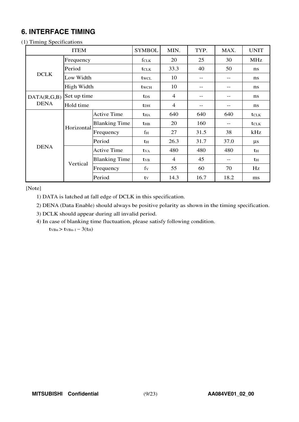# **6. INTERFACE TIMING**

### (1) Timing Specifications

|             | <b>ITEM</b> |                      | <b>SYMBOL</b>           | MIN.           | TYP. | MAX. | <b>UNIT</b>  |
|-------------|-------------|----------------------|-------------------------|----------------|------|------|--------------|
|             | Frequency   |                      | fclk                    | 20             | 25   | 30   | <b>MHz</b>   |
|             | Period      |                      | <b>t</b> CLK            | 33.3           | 40   | 50   | ns           |
| <b>DCLK</b> | Low Width   |                      | twcl                    | 10             | --   | --   | ns           |
|             | High Width  |                      | twch                    | 10             | --   | $-$  | ns           |
| DATA(R,G,B) | Set up time |                      | t <sub>DS</sub>         | $\overline{4}$ | --   | --   | ns           |
| <b>DENA</b> | Hold time   |                      | $t_{DH}$                | $\overline{4}$ | --   | $-$  | ns           |
|             |             | <b>Active Time</b>   | <b>t</b> HA             | 640            | 640  | 640  | <b>t</b> CLK |
|             | Horizontal  | <b>Blanking Time</b> | $t_{HB}$                | 20             | 160  | --   | <b>t</b> CLK |
|             |             | Frequency            | $f_{\rm H}$             | 27             | 31.5 | 38   | kHz          |
|             |             | Period               | th                      | 26.3           | 31.7 | 37.0 | $\mu s$      |
| <b>DENA</b> |             | <b>Active Time</b>   | <b>t</b> v <sub>A</sub> | 480            | 480  | 480  | th           |
|             | Vertical    | <b>Blanking Time</b> | <b>t</b> <sub>VB</sub>  | $\overline{4}$ | 45   | --   | th           |
|             |             | Frequency            | $f_V$                   | 55             | 60   | 70   | Hz           |
|             |             | Period               | tv                      | 14.3           | 16.7 | 18.2 | ms           |

[Note]

1) DATA is latched at fall edge of DCLK in this specification.

2) DENA (Data Enable) should always be positive polarity as shown in the timing specification.

3) DCLK should appear during all invalid period.

4) In case of blanking time fluctuation, please satisfy following condition.

 $t_{VBn}$  >  $t_{VBn-1}$  – 3( $t_{H}$ )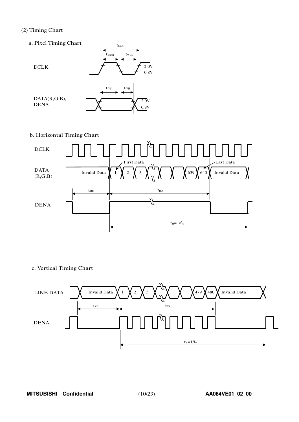### (2) Timing Chart

- a. Pixel Timing Chart 2.0V 0.8V t<sub>wcH</sub> t<sub>wcL</sub>  $t_{\scriptstyle{\text{CLK}}}$ tD<sup>S</sup> tD<sup>H</sup> DCLK DATA(R,G,B), DENA  $\overline{A}$   $\overline{A}$  0.8V 2.0V
- b. Horizontal Timing Chart



c. Vertical Timing Chart

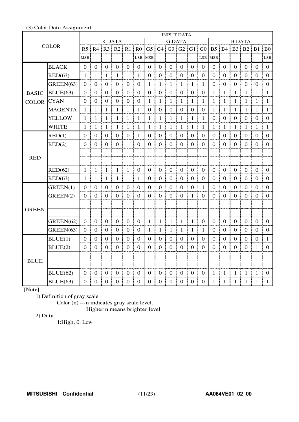|              |                | <b>INPUT DATA</b>   |                  |                             |                       |                       |                  |                  |                  |                        |                  |                   |                  |                   |                  |                             |                  |                  |                  |
|--------------|----------------|---------------------|------------------|-----------------------------|-----------------------|-----------------------|------------------|------------------|------------------|------------------------|------------------|-------------------|------------------|-------------------|------------------|-----------------------------|------------------|------------------|------------------|
|              |                |                     |                  |                             | R DATA                |                       |                  |                  |                  | <b>G DATA</b>          |                  |                   |                  |                   |                  | <b>B DATA</b>               |                  |                  |                  |
|              | <b>COLOR</b>   |                     |                  | R5   R4   R3   R2   R1   R0 |                       |                       |                  |                  |                  |                        |                  | G5 G4 G3 G2 G1 G0 |                  |                   |                  | B5   B4   B3   B2   B1   B0 |                  |                  |                  |
|              |                | <b>MSB</b>          |                  |                             |                       |                       | <b>LSB</b>       | <b>MSB</b>       |                  |                        |                  |                   | <b>LSB</b>       | <b>MSB</b>        |                  |                             |                  |                  | LSB              |
|              | <b>BLACK</b>   | $\mathbf{0}$        | $\mathbf{0}$     | $\mathbf{0}$                | $\overline{0}$<br>j   | $\overline{0}$        | $\overline{0}$   | $\overline{0}$   | $\overline{0}$   | $\boldsymbol{0}$       | $\overline{0}$   | $\overline{0}$    | $\mathbf{0}$     | $\overline{0}$    | $\mathbf{0}$     | $\mathbf{0}$                | $\mathbf{0}$     | $\overline{0}$   | $\overline{0}$   |
|              | RED(63)        | 1                   | 1                | 1                           | $\mathbf{1}$          | $\mathbf{1}$          | 1                | $\mathbf{0}$     | $\mathbf{0}$     | $\mathbf{0}$           | $\overline{0}$   | $\mathbf{0}$      | $\mathbf{0}$     | $\Omega$          | $\mathbf{0}$     | $\Omega$                    | $\mathbf{0}$     | $\mathbf{0}$     | $\theta$         |
|              | GREEN(63)      | $\Omega$            | $\boldsymbol{0}$ | $\boldsymbol{0}$            | $\boldsymbol{0}$<br>Ē | $\boldsymbol{0}$      | $\boldsymbol{0}$ | $\mathbf{1}$     | $\mathbf{1}$     | $\mathbf{1}$           | $\mathbf{1}$     | $\mathbf{1}$      | 1                | $\boldsymbol{0}$  | $\boldsymbol{0}$ | $\Omega$                    | $\boldsymbol{0}$ | $\overline{0}$   | $\Omega$         |
| <b>BASIC</b> | BLUE(63)       | $\Omega$            | $\mathbf{0}$     | $\boldsymbol{0}$            | $\boldsymbol{0}$<br>ŧ | $\mathbf{0}$          | $\mathbf{0}$     | $\overline{0}$   | $\boldsymbol{0}$ | $\mathbf{0}$<br>Ē      | $\theta$         | $\boldsymbol{0}$  | $\theta$         | 1                 | $\mathbf{1}$     | 1                           | $\mathbf{1}$     | 1                | 1                |
| <b>COLOR</b> | <b>CYAN</b>    | $\theta$<br>Ē       | $\boldsymbol{0}$ | $\boldsymbol{0}$            | $\mathbf{0}$<br>I     | $\overline{0}$        | $\boldsymbol{0}$ | $\mathbf{1}$     | $\mathbf{1}$     | $\mathbf{1}$           | $\mathbf{1}$     | $\mathbf{1}$      | 1                | I<br>$\mathbf{1}$ | $\mathbf{1}$     | $\mathbf{1}$                | $\mathbf{1}$     | $\mathbf{1}$     | 1                |
|              | <b>MAGENTA</b> | 1                   | 1                | 1                           | 1                     | 1                     | 1                | $\theta$         | $\theta$         | $\theta$               | $\theta$         | $\theta$          | $\theta$         | 1                 | 1                | 1                           | 1                | 1                | 1                |
|              | <b>YELLOW</b>  | 1                   | $\mathbf{1}$     | $\mathbf{1}$                | $\mathbf{1}$          | $\mathbf{1}$          | $\mathbf{1}$     | $\mathbf{1}$     | $\mathbf{1}$     | $\mathbf{1}$           | $\mathbf{1}$     | $\mathbf{1}$      | $\mathbf{1}$     | $\theta$          | $\boldsymbol{0}$ | $\theta$                    | $\overline{0}$   | $\mathbf{0}$     | $\theta$         |
|              | <b>WHITE</b>   | 1                   | $\mathbf{1}$     | 1                           | $\mathbf{1}$          | 1                     | $\mathbf{1}$     | 1                | 1                | $\mathbf{1}$           | 1                | 1                 | 1                | 1                 | $\mathbf{1}$     | $\mathbf{1}$                | $\mathbf{1}$     | $\mathbf{1}$     | 1                |
|              | RED(1)         | $\mathbf{0}$        | $\overline{0}$   | $\mathbf{0}$                | $\mathbf{0}$          | $\overline{0}$        | $\mathbf{1}$     | $\mathbf{0}$     | $\mathbf{0}$     | $\mathbf{0}$           | $\overline{0}$   | $\mathbf{0}$      | $\mathbf{0}$     | $\boldsymbol{0}$  | $\overline{0}$   | $\Omega$                    | $\overline{0}$   | $\mathbf{0}$     | $\overline{0}$   |
|              | RED(2)         | $\boldsymbol{0}$    | $\Omega$         | $\mathbf{0}$                | $\mathbf{0}$          | $\mathbf{1}$          | $\mathbf{0}$     | $\Omega$         | $\mathbf{0}$     | $\mathbf{0}$           | $\Omega$         | $\Omega$          | $\mathbf{0}$     | $\Omega$          | $\mathbf{0}$     | $\Omega$                    | $\Omega$         | $\mathbf{0}$     | $\mathbf{0}$     |
|              |                |                     |                  |                             |                       |                       |                  |                  |                  |                        |                  |                   |                  |                   |                  |                             |                  |                  |                  |
| <b>RED</b>   |                |                     |                  |                             |                       |                       |                  |                  |                  |                        |                  |                   |                  |                   |                  |                             |                  |                  |                  |
|              | RED(62)        | 1                   | 1                | $\mathbf{1}$                | I<br>$\mathbf{1}$     | $\mathbf{1}$          | $\mathbf{0}$     | $\mathbf{0}$     | $\boldsymbol{0}$ | Ī<br>$\mathbf{0}$      | $\mathbf{0}$     | $\mathbf{0}$      | $\mathbf{0}$     | $\mathbf{0}$      | $\boldsymbol{0}$ | $\mathbf{0}$                | $\mathbf{0}$     | $\mathbf{0}$     | $\theta$         |
|              | RED(63)        | 1                   | 1                | 1                           | $\mathbf{1}$          | $\mathbf{1}$          | 1                | $\mathbf{0}$     | $\mathbf{0}$     | $\mathbf{0}$           | $\mathbf{0}$     | $\mathbf{0}$      | $\mathbf{0}$     | $\Omega$          | $\mathbf{0}$     | $\Omega$                    | $\overline{0}$   | $\mathbf{0}$     | $\theta$         |
|              | GREEN(1)       | $\overline{0}$<br>Ī | $\boldsymbol{0}$ | $\boldsymbol{0}$            | $\boldsymbol{0}$      | Ī<br>$\boldsymbol{0}$ | $\boldsymbol{0}$ | $\mathbf{0}$     | $\boldsymbol{0}$ | $\boldsymbol{0}$<br>Ī  | $\boldsymbol{0}$ | $\boldsymbol{0}$  | $\mathbf{1}$     | Ī<br>$\mathbf{0}$ | $\boldsymbol{0}$ | $\overline{0}$              | $\boldsymbol{0}$ | $\boldsymbol{0}$ | $\mathbf{0}$     |
|              | GREEN(2)       | $\theta$            | $\boldsymbol{0}$ | $\boldsymbol{0}$            | $\mathbf{0}$          | $\overline{0}$        | $\mathbf{0}$     | $\mathbf{0}$     | $\boldsymbol{0}$ | $\mathbf{0}$           | $\overline{0}$   | $\mathbf{1}$      | $\mathbf{0}$     | $\overline{0}$    | $\boldsymbol{0}$ | $\overline{0}$              | $\overline{0}$   | $\overline{0}$   | $\mathbf{0}$     |
|              |                |                     |                  |                             |                       |                       |                  |                  |                  |                        |                  |                   |                  |                   |                  |                             |                  |                  |                  |
| <b>GREEN</b> |                |                     |                  |                             |                       |                       |                  |                  |                  |                        |                  |                   |                  |                   |                  |                             |                  |                  |                  |
|              | GREEN(62)      | $\boldsymbol{0}$    | $\mathbf{0}$     | $\boldsymbol{0}$            | $\boldsymbol{0}$      | $\boldsymbol{0}$      | $\mathbf{0}$     | 1                | $\mathbf{1}$     | $\mathbf{1}$           | $\mathbf{1}$     | $\mathbf{1}$      | $\boldsymbol{0}$ | $\boldsymbol{0}$  | $\boldsymbol{0}$ | $\boldsymbol{0}$            | $\boldsymbol{0}$ | $\boldsymbol{0}$ | $\boldsymbol{0}$ |
|              | GREEN(63)      | $\mathbf{0}$        | $\mathbf{0}$     | $\boldsymbol{0}$            | $\boldsymbol{0}$<br>j | $\mathbf{0}$          | $\mathbf{0}$     | $\mathbf{1}$     | $\mathbf{1}$     | $\mathbf{1}$<br>j<br>I | $\mathbf{1}$     | $\mathbf{1}$      | $\mathbf{1}$     | $\overline{0}$    | $\boldsymbol{0}$ | $\overline{0}$              | $\boldsymbol{0}$ | $\boldsymbol{0}$ | $\boldsymbol{0}$ |
|              | BLUE(1)        | $\Omega$            | $\Omega$         | $\mathbf{0}$                | $\Omega$              | $\Omega$              | $\mathbf{0}$     | $\Omega$         | $\mathbf{0}$     | $\mathbf{0}$           | $\Omega$         | $\mathbf{0}$      | $\Omega$         | $\Omega$          | $\mathbf{0}$     | $\Omega$                    | $\Omega$         | $\mathbf{0}$     | 1                |
|              | BLUE(2)        | $\Omega$            | $\boldsymbol{0}$ | 0                           | $\Omega$              | $\boldsymbol{0}$      | $\boldsymbol{0}$ | $\boldsymbol{0}$ | $\boldsymbol{0}$ | $\boldsymbol{0}$       | $\Omega$         | $\Omega$          | $\boldsymbol{0}$ | 0                 | $\boldsymbol{0}$ | $\Omega$                    | $\Omega$         | $\mathbf{1}$     | $\boldsymbol{0}$ |
|              |                |                     |                  |                             |                       |                       |                  |                  |                  |                        |                  |                   |                  |                   |                  |                             |                  |                  |                  |
| <b>BLUE</b>  |                |                     |                  |                             |                       |                       |                  |                  |                  |                        |                  |                   |                  |                   |                  |                             |                  |                  |                  |
|              | BLUE(62)       | 0                   | $\theta$         | 0                           | $\theta$              | ŧ<br>$\theta$         | $\theta$         | $\theta$         | $\theta$         | $\theta$               | $\theta$         | $\mathbf{0}$      | $\theta$         | 1                 | 1                | 1                           | $\mathbf{1}$     | 1                | $\theta$         |
|              | BLUE(63)       | I<br>$\theta$       | $\boldsymbol{0}$ | $\mathbf{0}$                | $\boldsymbol{0}$<br>I | $\overline{0}$        | $\boldsymbol{0}$ | $\overline{0}$   | $\boldsymbol{0}$ | I<br>$\boldsymbol{0}$  | $\boldsymbol{0}$ | $\boldsymbol{0}$  | $\overline{0}$   | 1                 | $\mathbf{1}$     | $\mathbf{1}$                | $\mathbf{1}$     | $\mathbf{1}$     | 1                |

### (3) Color Data Assignment

[Note]

1) Definition of gray scale

Color (n) ---n indicates gray scale level.

Higher n means brighter level.

2) Data

1:High, 0: Low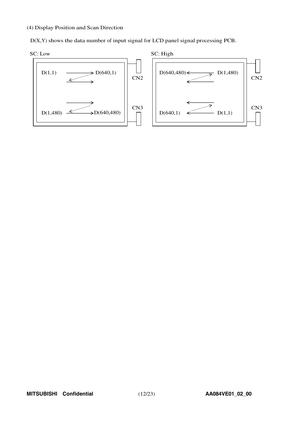### (4) Display Position and Scan Direction

D(X,Y) shows the data number of input signal for LCD panel signal processing PCB.

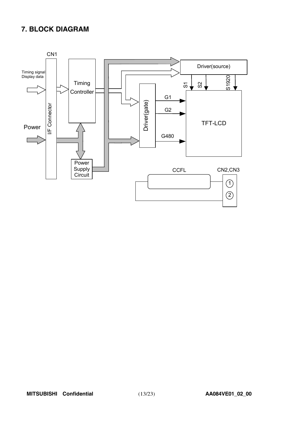# **7. BLOCK DIAGRAM**

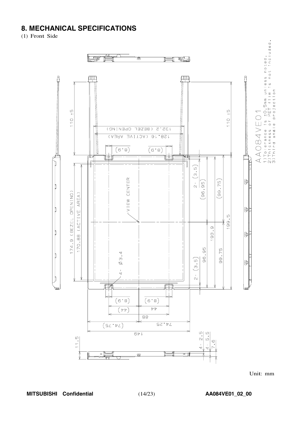# **8. MECHANICAL SPECIFICATIONS**

(1) Front Side



Unit: mm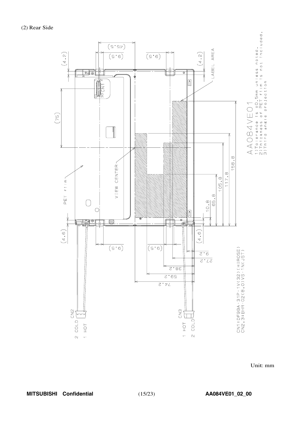



Unit: mm

**MITSUBISHI Confidential** (15/23) **AA084VE01\_02\_00**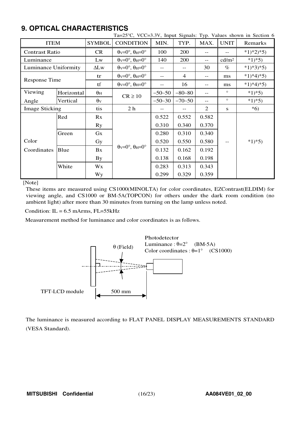# **9. OPTICAL CHARACTERISTICS**

|                       |            |                         | $Ta=25^{\circ}C$ , VCC=3.3V, Input Signals: Typ. Values shown in Section 6 |          |                |                          |                   |            |
|-----------------------|------------|-------------------------|----------------------------------------------------------------------------|----------|----------------|--------------------------|-------------------|------------|
| <b>ITEM</b>           |            | <b>SYMBOL</b>           | <b>CONDITION</b>                                                           | MIN.     | TYP.           | MAX.                     | <b>UNIT</b>       | Remarks    |
| <b>Contrast Ratio</b> |            | CR                      | $\theta$ <sub>V</sub> =0°, $\theta$ <sub>H</sub> =0°                       | 100      | 200            |                          |                   | $*1)*2*5)$ |
| Luminance             |            | Lw                      | $\theta$ <sub>V</sub> =0°, $\theta$ <sub>H</sub> =0°                       | 140      | 200            | $\overline{\phantom{m}}$ | cd/m <sup>2</sup> | $*1*5)$    |
| Luminance Uniformity  |            | $\Delta$ Lw             | $\theta$ <sub>V</sub> =0°, $\theta$ <sub>H</sub> =0°                       | $-$      | --             | 30                       | $\%$              | $*1)*3*5)$ |
| <b>Response Time</b>  |            | tr                      | $\theta$ <sub>V</sub> =0°, $\theta$ <sub>H</sub> =0°                       | $-$      | $\overline{4}$ | $-$                      | ms                | $*1)*4*5$  |
|                       |            | tf                      | $\theta$ <sub>V</sub> =0°, $\theta$ <sub>H</sub> =0°                       | $- -$    | 16             | $\overline{\phantom{m}}$ | ms                | $*1)*4*5$  |
| Viewing               | Horizontal | $\theta_{\rm H}$        | $CR \ge 10$                                                                | $-50-50$ | $-80-80$       | $-$                      | $\circ$           | $*1)*5)$   |
| Angle                 | Vertical   | $\theta$ <sub>V</sub>   |                                                                            | $-50-30$ | $-70-50$       | $\overline{\phantom{m}}$ | $\circ$           | $*1)*5)$   |
| <b>Image Sticking</b> |            | tis                     | 2 <sub>h</sub>                                                             | $-$      | --             | 2                        | S                 | $*6)$      |
|                       | Red        | Rx                      |                                                                            | 0.522    | 0.552          | 0.582                    |                   |            |
|                       |            | <b>Ry</b>               |                                                                            | 0.310    | 0.340          | 0.370                    |                   |            |
|                       | Green      | $G_{X}$                 |                                                                            | 0.280    | 0.310          | 0.340                    |                   |            |
| Color                 |            | Gy                      |                                                                            | 0.520    | 0.550          | 0.580                    | $\qquad \qquad -$ | $*1*5)$    |
| Coordinates           | Blue       | Bx                      | $\theta$ <sub>V</sub> =0°, $\theta$ <sub>H</sub> =0°                       | 0.132    | 0.162          | 0.192                    |                   |            |
|                       |            | $\mathbf{B} \mathbf{y}$ |                                                                            | 0.138    | 0.168          | 0.198                    |                   |            |
|                       | White      | Wx                      |                                                                            | 0.283    | 0.313          | 0.343                    |                   |            |
|                       |            | Wy                      |                                                                            | 0.299    | 0.329          | 0.359                    |                   |            |

[Note]

These items are measured using CS1000(MINOLTA) for color coordinates, EZContrast(ELDIM) for viewing angle, and CS1000 or BM-5A(TOPCON) for others under the dark room condition (no ambient light) after more than 30 minutes from turning on the lamp unless noted.

Condition:  $IL = 6.5$  mArms,  $FL = 55kHz$ 

Measurement method for luminance and color coordinates is as follows.



The luminance is measured according to FLAT PANEL DISPLAY MEASUREMENTS STANDARD (VESA Standard).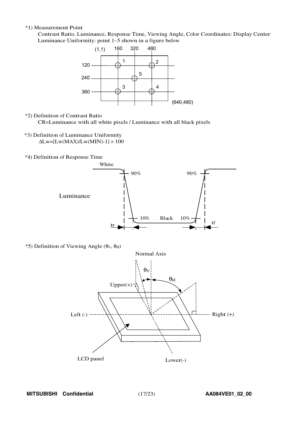### \*1) Measurement Point

Contrast Ratio, Luminance, Response Time, Viewing Angle, Color Coordinates: Display Center Luminanc<sup>e</sup> Uniformity: point <sup>1</sup>∼<sup>5</sup> shown in a figure belo<sup>w</sup>



### \*2) Definition of Contrast Ratio

CR=Luminance with all white pixels / Luminance with all black pixels

- \*3) Definition of Luminance Uniformity  $\Delta$ Lw=[Lw(MAX)/Lw(MIN)-1]  $\times$  100
- \*4) Definition of Response Time



 $*$ 5) Definition of Viewing Angle (θν, θ<sub>H</sub>)

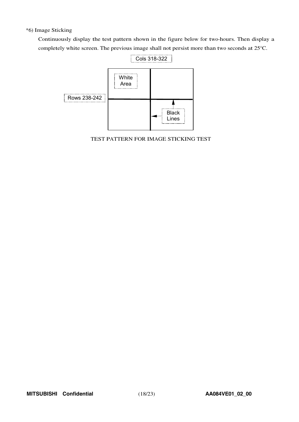### \*6) Image Sticking

Continuously display the test pattern shown in the figure below for two-hours. Then display a completely white screen. The previous image shall not persist more than two seconds at 25°C.



TEST PATTERN FOR IMAGE STICKING TEST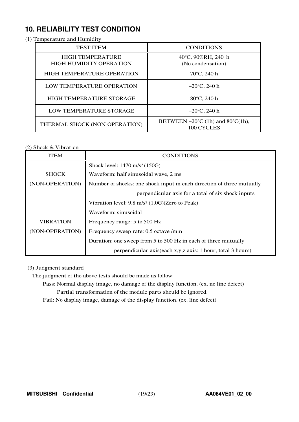# **10. RELIABILITY TEST CONDITION**

### (1) Temperature and Humidity

| <b>TEST ITEM</b>                                          | <b>CONDITIONS</b>                                                   |  |  |  |
|-----------------------------------------------------------|---------------------------------------------------------------------|--|--|--|
| <b>HIGH TEMPERATURE</b><br><b>HIGH HUMIDITY OPERATION</b> | 40°C, 90%RH, 240 h<br>(No condensation)                             |  |  |  |
| <b>HIGH TEMPERATURE OPERATION</b>                         | $70^{\circ}$ C, 240 h                                               |  |  |  |
| LOW TEMPERATURE OPERATION                                 | $-20^{\circ}$ C, 240 h                                              |  |  |  |
| <b>HIGH TEMPERATURE STORAGE</b>                           | 80°C, 240 h                                                         |  |  |  |
| LOW TEMPERATURE STORAGE                                   | $-20^{\circ}$ C, 240 h                                              |  |  |  |
| THERMAL SHOCK (NON-OPERATION)                             | BETWEEN $-20^{\circ}$ C (1h) and 80 $^{\circ}$ C(1h),<br>100 CYCLES |  |  |  |

### (2) Shock & Vibration

| <b>ITEM</b>      | <b>CONDITIONS</b>                                                     |  |  |  |  |
|------------------|-----------------------------------------------------------------------|--|--|--|--|
|                  | Shock level: $1470 \text{ m/s}^2 (150 \text{G})$                      |  |  |  |  |
| <b>SHOCK</b>     | Waveform: half sinusoidal wave, 2 ms                                  |  |  |  |  |
| (NON-OPERATION)  | Number of shocks: one shock input in each direction of three mutually |  |  |  |  |
|                  | perpendicular axis for a total of six shock inputs                    |  |  |  |  |
|                  | Vibration level: $9.8 \text{ m/s}^2$ (1.0G)(Zero to Peak)             |  |  |  |  |
|                  | Waveform: sinusoidal                                                  |  |  |  |  |
| <b>VIBRATION</b> | Frequency range: 5 to 500 Hz                                          |  |  |  |  |
| (NON-OPERATION)  | Frequency sweep rate: 0.5 octave /min                                 |  |  |  |  |
|                  | Duration: one sweep from 5 to 500 Hz in each of three mutually        |  |  |  |  |
|                  | perpendicular axis(each x,y,z axis: 1 hour, total 3 hours)            |  |  |  |  |

### (3) Judgment standard

The judgment of the above tests should be made as follow:

Pass: Normal display image, no damage of the display function. (ex. no line defect)

Partial transformation of the module parts should be ignored.

Fail: No display image, damage of the display function. (ex. line defect)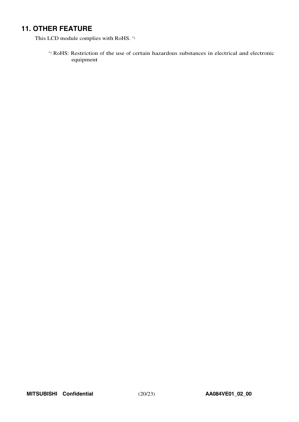# **11. OTHER FEATURE**

This LCD module complies with RoHS. \*)

\*) RoHS: Restriction of the use of certain hazardous substances in electrical and electronic equipment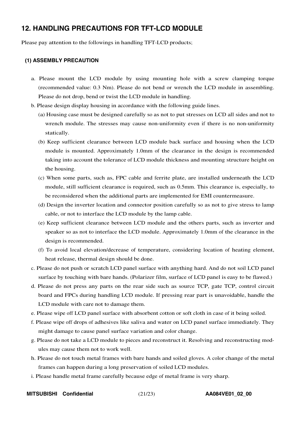## **12. HANDLING PRECAUTIONS FOR TFT-LCD MODULE**

Please pay attention to the followings in handling TFT-LCD products;

### **(1) ASSEMBLY PRECAUTION**

- a. Please mount the LCD module by using mounting hole with a screw clamping torque (recommended value: 0.3 Nm). Please do not bend or wrench the LCD module in assembling. Please do not drop, bend or twist the LCD module in handling.
- b. Please design display housing in accordance with the following guide lines.
	- (a) Housing case must be designed carefully so as not to put stresses on LCD all sides and not to wrench module. The stresses may cause non-uniformity even if there is no non-uniformity statically.
	- (b) Keep sufficient clearance between LCD module back surface and housing when the LCD module is mounted. Approximately 1.0mm of the clearance in the design is recommended taking into account the tolerance of LCD module thickness and mounting structure height on the housing.
	- (c) When some parts, such as, FPC cable and ferrite plate, are installed underneath the LCD module, still sufficient clearance is required, such as 0.5mm. This clearance is, especially, to be reconsidered when the additional parts are implemented for EMI countermeasure.
	- (d) Design the inverter location and connector position carefully so as not to give stress to lamp cable, or not to interface the LCD module by the lamp cable.
	- (e) Keep sufficient clearance between LCD module and the others parts, such as inverter and speaker so as not to interface the LCD module. Approximately 1.0mm of the clearance in the design is recommended.
	- (f) To avoid local elevation/decrease of temperature, considering location of heating element, heat release, thermal design should be done.
- c. Please do not push or scratch LCD panel surface with anything hard. And do not soil LCD panel surface by touching with bare hands. (Polarizer film, surface of LCD panel is easy to be flawed.)
- d. Please do not press any parts on the rear side such as source TCP, gate TCP, control circuit board and FPCs during handling LCD module. If pressing rear part is unavoidable, handle the LCD module with care not to damage them.
- e. Please wipe off LCD panel surface with absorbent cotton or soft cloth in case of it being soiled.
- f. Please wipe off drops of adhesives like saliva and water on LCD panel surface immediately. They might damage to cause panel surface variation and color change.
- g. Please do not take a LCD module to pieces and reconstruct it. Resolving and reconstructing modules may cause them not to work well.
- h. Please do not touch metal frames with bare hands and soiled gloves. A color change of the metal frames can happen during a long preservation of soiled LCD modules.
- i. Please handle metal frame carefully because edge of metal frame is very sharp.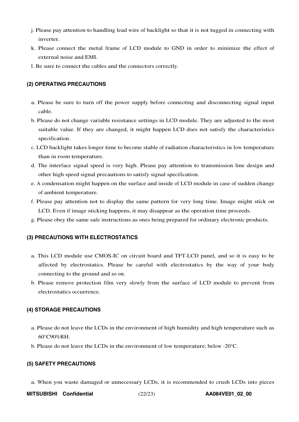- j. Please pay attention to handling lead wire of backlight so that it is not tugged in connecting with inverter.
- k. Please connect the metal frame of LCD module to GND in order to minimize the effect of external noise and EMI.
- l. Be sure to connect the cables and the connectors correctly.

### **(2) OPERATING PRECAUTIONS**

- a. Please be sure to turn off the power supply before connecting and disconnecting signal input cable.
- b. Please do not change variable resistance settings in LCD module. They are adjusted to the most suitable value. If they are changed, it might happen LCD does not satisfy the characteristics specification.
- c. LCD backlight takes longer time to become stable of radiation characteristics in low temperature than in room temperature.
- d. The interface signal speed is very high. Please pay attention to transmission line design and other high speed signal precautions to satisfy signal specification.
- e. A condensation might happen on the surface and inside of LCD module in case of sudden change of ambient temperature.
- f. Please pay attention not to display the same pattern for very long time. Image might stick on LCD. Even if image sticking happens, it may disappear as the operation time proceeds.
- g. Please obey the same safe instructions as ones being prepared for ordinary electronic products.

### **(3) PRECAUTIONS WITH ELECTROSTATICS**

- a. This LCD module use CMOS-IC on circuit board and TFT-LCD panel, and so it is easy to be affected by electrostatics. Please be careful with electrostatics by the way of your body connecting to the ground and so on.
- b. Please remove protection film very slowly from the surface of LCD module to prevent from electrostatics occurrence.

### **(4) STORAGE PRECAUTIONS**

- a. Please do not leave the LCDs in the environment of high humidity and high temperature such as 60°C90%RH.
- b. Please do not leave the LCDs in the environment of low temperature; below -20°C.

### **(5) SAFETY PRECAUTIONS**

a. When you waste damaged or unnecessary LCDs, it is recommended to crush LCDs into pieces

**MITSUBISHI Confidential**  $(22/23)$  **AA084VE01 02 00**